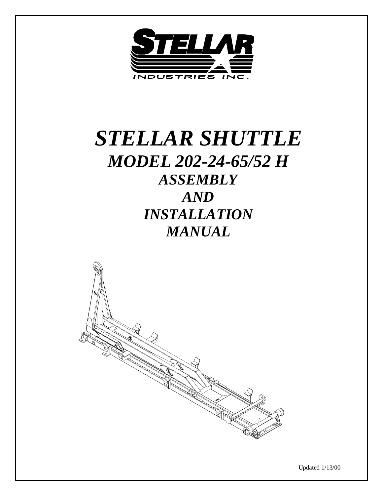

# *STELLAR SHUTTLE MODEL 202-24-65/52 H ASSEMBLY AND INSTALLATION MANUAL*



Updated 1/13/00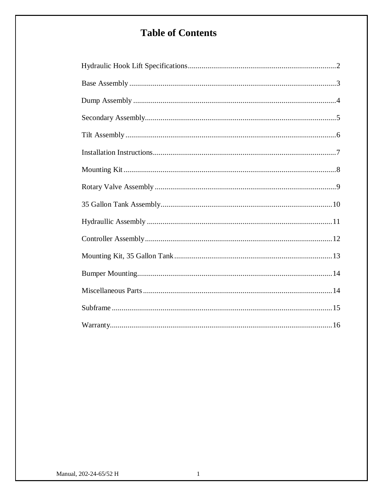# **Table of Contents**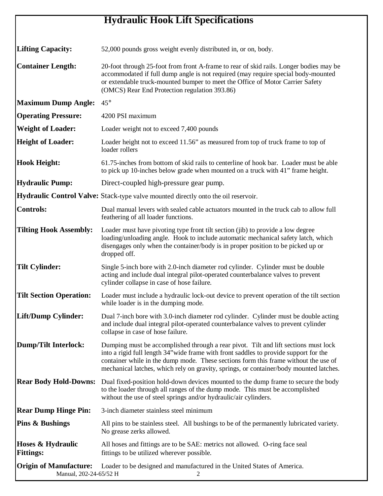# **Hydraulic Hook Lift Specifications**

| <b>Lifting Capacity:</b>                                | 52,000 pounds gross weight evenly distributed in, or on, body.                                                                                                                                                                                                                                                                                                |
|---------------------------------------------------------|---------------------------------------------------------------------------------------------------------------------------------------------------------------------------------------------------------------------------------------------------------------------------------------------------------------------------------------------------------------|
| <b>Container Length:</b>                                | 20-foot through 25-foot from front A-frame to rear of skid rails. Longer bodies may be<br>accommodated if full dump angle is not required (may require special body-mounted<br>or extendable truck-mounted bumper to meet the Office of Motor Carrier Safety<br>(OMCS) Rear End Protection regulation 393.86)                                                 |
| <b>Maximum Dump Angle:</b>                              | $45^{\circ}$                                                                                                                                                                                                                                                                                                                                                  |
| <b>Operating Pressure:</b>                              | 4200 PSI maximum                                                                                                                                                                                                                                                                                                                                              |
| <b>Weight of Loader:</b>                                | Loader weight not to exceed 7,400 pounds                                                                                                                                                                                                                                                                                                                      |
| <b>Height of Loader:</b>                                | Loader height not to exceed 11.56" as measured from top of truck frame to top of<br>loader rollers                                                                                                                                                                                                                                                            |
| <b>Hook Height:</b>                                     | 61.75-inches from bottom of skid rails to centerline of hook bar. Loader must be able<br>to pick up 10-inches below grade when mounted on a truck with 41" frame height.                                                                                                                                                                                      |
| <b>Hydraulic Pump:</b>                                  | Direct-coupled high-pressure gear pump.                                                                                                                                                                                                                                                                                                                       |
|                                                         | Hydraulic Control Valve: Stack-type valve mounted directly onto the oil reservoir.                                                                                                                                                                                                                                                                            |
| <b>Controls:</b>                                        | Dual manual levers with sealed cable actuators mounted in the truck cab to allow full<br>feathering of all loader functions.                                                                                                                                                                                                                                  |
| <b>Tilting Hook Assembly:</b>                           | Loader must have pivoting type front tilt section (jib) to provide a low degree<br>loading/unloading angle. Hook to include automatic mechanical safety latch, which<br>disengages only when the container/body is in proper position to be picked up or<br>dropped off.                                                                                      |
| <b>Tilt Cylinder:</b>                                   | Single 5-inch bore with 2.0-inch diameter rod cylinder. Cylinder must be double<br>acting and include dual integral pilot-operated counterbalance valves to prevent<br>cylinder collapse in case of hose failure.                                                                                                                                             |
| <b>Tilt Section Operation:</b>                          | Loader must include a hydraulic lock-out device to prevent operation of the tilt section<br>while loader is in the dumping mode.                                                                                                                                                                                                                              |
| Lift/Dump Cylinder:                                     | Dual 7-inch bore with 3.0-inch diameter rod cylinder. Cylinder must be double acting<br>and include dual integral pilot-operated counterbalance valves to prevent cylinder<br>collapse in case of hose failure.                                                                                                                                               |
| <b>Dump/Tilt Interlock:</b>                             | Dumping must be accomplished through a rear pivot. Tilt and lift sections must lock<br>into a rigid full length 34" wide frame with front saddles to provide support for the<br>container while in the dump mode. These sections form this frame without the use of<br>mechanical latches, which rely on gravity, springs, or container/body mounted latches. |
| <b>Rear Body Hold-Downs:</b>                            | Dual fixed-position hold-down devices mounted to the dump frame to secure the body<br>to the loader through all ranges of the dump mode. This must be accomplished<br>without the use of steel springs and/or hydraulic/air cylinders.                                                                                                                        |
| <b>Rear Dump Hinge Pin:</b>                             | 3-inch diameter stainless steel minimum                                                                                                                                                                                                                                                                                                                       |
| <b>Pins &amp; Bushings</b>                              | All pins to be stainless steel. All bushings to be of the permanently lubricated variety.<br>No grease zerks allowed.                                                                                                                                                                                                                                         |
| Hoses & Hydraulic<br><b>Fittings:</b>                   | All hoses and fittings are to be SAE: metrics not allowed. O-ring face seal<br>fittings to be utilized wherever possible.                                                                                                                                                                                                                                     |
| <b>Origin of Manufacture:</b><br>Manual, 202-24-65/52 H | Loader to be designed and manufactured in the United States of America.                                                                                                                                                                                                                                                                                       |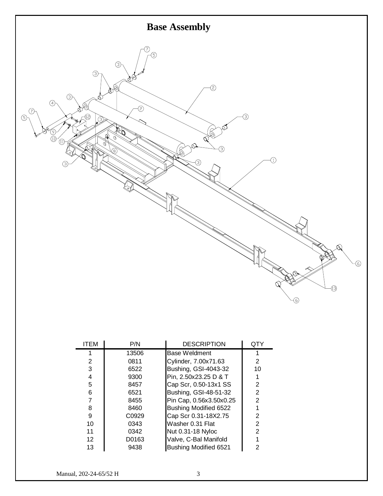

| <b>ITEM</b>     | P/N   | <b>DESCRIPTION</b>           | QTY            |
|-----------------|-------|------------------------------|----------------|
|                 | 13506 | <b>Base Weldment</b>         |                |
| 2               | 0811  | Cylinder, 7.00x71.63         | 2              |
| 3               | 6522  | Bushing, GSI-4043-32         | 10             |
| 4               | 9300  | Pin, 2.50x23.25 D & T        |                |
| 5               | 8457  | Cap Scr, 0.50-13x1 SS        | 2              |
| 6               | 6521  | Bushing, GSI-48-51-32        | 2              |
| 7               | 8455  | Pin Cap, 0.56x3.50x0.25      | $\overline{2}$ |
| 8               | 8460  | Bushing Modified 6522        |                |
| 9               | C0929 | Cap Scr 0.31-18X2.75         | 2              |
| 10              | 0343  | Washer 0.31 Flat             | $\overline{2}$ |
| 11              | 0342  | Nut 0.31-18 Nyloc            | $\overline{2}$ |
| 12 <sup>2</sup> | D0163 | Valve, C-Bal Manifold        |                |
| 13              | 9438  | <b>Bushing Modified 6521</b> | 2              |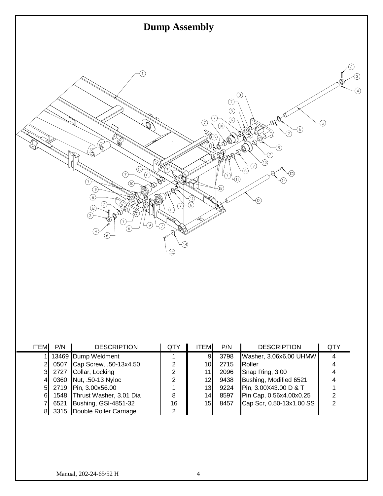

| <b>ITEM</b> | P/N  | <b>DESCRIPTION</b>           | QTY            | <b>ITEM</b>     | P/N  | <b>DESCRIPTION</b>       | QTY |
|-------------|------|------------------------------|----------------|-----------------|------|--------------------------|-----|
|             |      | 13469 Dump Weldment          |                | 9.              | 3798 | Washer, 3.06x6.00 UHMW   |     |
|             | 0507 | Cap Screw, .50-13x4.50       | 2              | 10 <sub>l</sub> | 2715 | Roller                   |     |
|             | 2727 | Collar, Locking              | 2              | 111             | 2096 | Snap Ring, 3.00          |     |
|             |      | 0360 Nut, .50-13 Nyloc       | 2              | 12 <sub>l</sub> | 9438 | Bushing, Modified 6521   |     |
|             |      | 2719 Pin, 3.00x56.00         |                | 13 <sub>l</sub> | 9224 | Pin, 3.00X43.00 D & T    |     |
| 61          |      | 1548 Thrust Washer, 3.01 Dia | 8              | 14              | 8597 | Pin Cap, 0.56x4.00x0.25  |     |
|             | 6521 | Bushing, GSI-4851-32         | 16             | 15              | 8457 | Cap Scr, 0.50-13x1.00 SS |     |
|             |      | 3315 Double Roller Carriage  | $\overline{2}$ |                 |      |                          |     |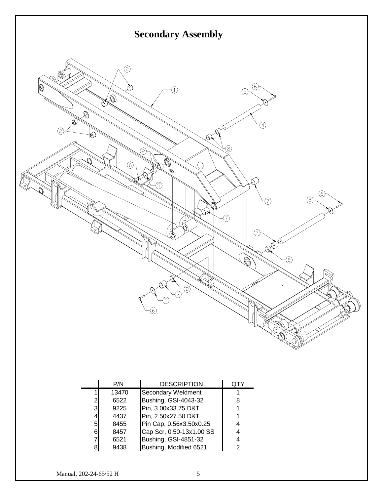

|                | P/N   | <b>DESCRIPTION</b>          |   |
|----------------|-------|-----------------------------|---|
|                | 13470 | Secondary Weldment          |   |
| $\overline{2}$ | 6522  | <b>Bushing, GSI-4043-32</b> | 8 |
| 3              | 9225  | Pin, 3.00x33.75 D&T         |   |
| 4              | 4437  | Pin, 2.50x27.50 D&T         |   |
| 5              | 8455  | Pin Cap, 0.56x3.50x0.25     |   |
| 61             | 8457  | Cap Scr, 0.50-13x1.00 SS    |   |
| 7              | 6521  | <b>Bushing, GSI-4851-32</b> |   |
| 8              | 9438  | Bushing, Modified 6521      |   |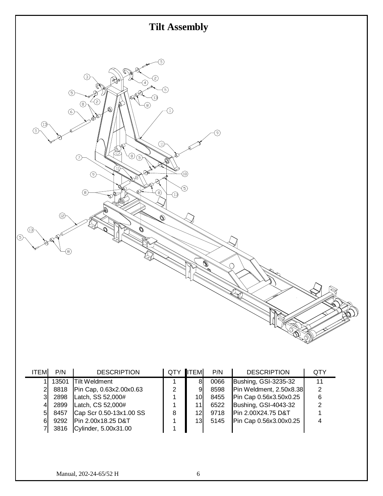

| <b>ITEM</b>    | P/N   | <b>DESCRIPTION</b>      | QTY.           | <b>I</b> TEM    | P/N  | <b>DESCRIPTION</b>      | <b>QTY</b> |
|----------------|-------|-------------------------|----------------|-----------------|------|-------------------------|------------|
|                | 13501 | <b>Tilt Weldment</b>    |                | 8               | 0066 | Bushing, GSI-3235-32    | 11         |
| $\overline{2}$ | 8818  | Pin Cap, 0.63x2.00x0.63 | $\overline{2}$ | 9               | 8598 | Pin Weldment, 2.50x8.38 | 2          |
| 31             | 2898  | Latch, SS 52,000#       |                | 10I             | 8455 | Pin Cap 0.56x3.50x0.25  | 6          |
| 4              | 2899  | Latch, CS 52,000#       |                | 11              | 6522 | Bushing, GSI-4043-32    | 2          |
| 51             | 8457  | Cap Scr 0.50-13x1.00 SS | 8              | 12I             | 9718 | Pin 2.00X24.75 D&T      |            |
| 61             | 9292  | Pin 2.00x18.25 D&T      |                | 13 <sub>l</sub> | 5145 | Pin Cap 0.56x3.00x0.25  |            |
|                | 3816  | Cylinder, 5.00x31.00    |                |                 |      |                         |            |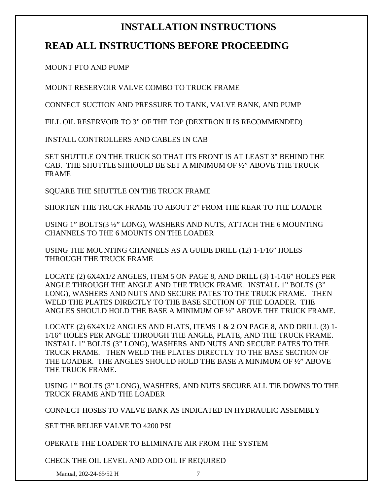### **INSTALLATION INSTRUCTIONS**

### **READ ALL INSTRUCTIONS BEFORE PROCEEDING**

MOUNT PTO AND PUMP

MOUNT RESERVOIR VALVE COMBO TO TRUCK FRAME

CONNECT SUCTION AND PRESSURE TO TANK, VALVE BANK, AND PUMP

FILL OIL RESERVOIR TO 3" OF THE TOP (DEXTRON II IS RECOMMENDED)

INSTALL CONTROLLERS AND CABLES IN CAB

SET SHUTTLE ON THE TRUCK SO THAT ITS FRONT IS AT LEAST 3" BEHIND THE CAB. THE SHUTTLE SHHOULD BE SET A MINIMUM OF ½" ABOVE THE TRUCK FRAME

SQUARE THE SHUTTLE ON THE TRUCK FRAME

SHORTEN THE TRUCK FRAME TO ABOUT 2" FROM THE REAR TO THE LOADER

USING 1" BOLTS(3 ½" LONG), WASHERS AND NUTS, ATTACH THE 6 MOUNTING CHANNELS TO THE 6 MOUNTS ON THE LOADER

USING THE MOUNTING CHANNELS AS A GUIDE DRILL (12) 1-1/16" HOLES THROUGH THE TRUCK FRAME

LOCATE (2) 6X4X1/2 ANGLES, ITEM 5 ON PAGE 8, AND DRILL (3) 1-1/16" HOLES PER ANGLE THROUGH THE ANGLE AND THE TRUCK FRAME. INSTALL 1" BOLTS (3" LONG), WASHERS AND NUTS AND SECURE PATES TO THE TRUCK FRAME. THEN WELD THE PLATES DIRECTLY TO THE BASE SECTION OF THE LOADER. THE ANGLES SHOULD HOLD THE BASE A MINIMUM OF ½" ABOVE THE TRUCK FRAME.

LOCATE (2)  $6X4X1/2$  ANGLES AND FLATS, ITEMS 1 & 2 ON PAGE 8, AND DRILL (3) 1-1/16" HOLES PER ANGLE THROUGH THE ANGLE, PLATE, AND THE TRUCK FRAME. INSTALL 1" BOLTS (3" LONG), WASHERS AND NUTS AND SECURE PATES TO THE TRUCK FRAME. THEN WELD THE PLATES DIRECTLY TO THE BASE SECTION OF THE LOADER. THE ANGLES SHOULD HOLD THE BASE A MINIMUM OF ½" ABOVE THE TRUCK FRAME.

USING 1" BOLTS (3" LONG), WASHERS, AND NUTS SECURE ALL TIE DOWNS TO THE TRUCK FRAME AND THE LOADER

CONNECT HOSES TO VALVE BANK AS INDICATED IN HYDRAULIC ASSEMBLY

SET THE RELIEF VALVE TO 4200 PSI

OPERATE THE LOADER TO ELIMINATE AIR FROM THE SYSTEM

CHECK THE OIL LEVEL AND ADD OIL IF REQUIRED

Manual, 202-24-65/52 H 7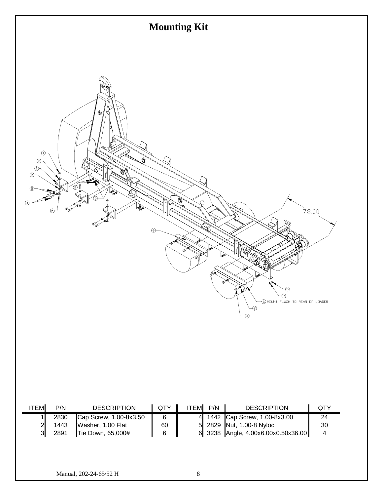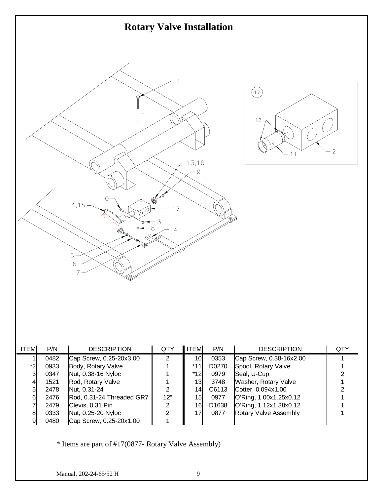

| <b>ITEM</b>    | P/N  | <b>DESCRIPTION</b>        | QTY | <b>ITEM</b>     | P/N   | <b>DESCRIPTION</b>           | QTY |
|----------------|------|---------------------------|-----|-----------------|-------|------------------------------|-----|
|                | 0482 | Cap Screw, 0.25-20x3.00   |     | 10 <sub>l</sub> | 0353  | Cap Screw, 0.38-16x2.00      |     |
| $*2$           | 0933 | Body, Rotary Valve        |     | *11             | D0270 | Spool, Rotary Valve          |     |
| 3 <sup>l</sup> | 0347 | Nut, 0.38-16 Nyloc        |     | $*12$           | 0979  | Seal, U-Cup                  |     |
| 41             | 1521 | Rod, Rotary Valve         |     | 13              | 3748  | Washer, Rotary Valve         |     |
| 51             | 2478 | Nut, 0.31-24              | ົ   | 14I             | C6113 | Cotter, 0.094x1.00           |     |
| 61             | 2476 | Rod, 0.31-24 Threaded GR7 | 12" | 15              | 0977  | O'Ring, 1.00x1.25x0.12       |     |
|                | 2479 | Clevis, 0.31 Pin          | າ   | 16              | D1638 | O'Ring, 1.12x1.38x0.12       |     |
| 81             | 0333 | Nut, 0.25-20 Nyloc        |     | 17              | 0877  | <b>Rotary Valve Assembly</b> |     |
| 9              | 0480 | Cap Screw, 0.25-20x1.00   |     |                 |       |                              |     |

\* Items are part of #17(0877- Rotary Valve Assembly)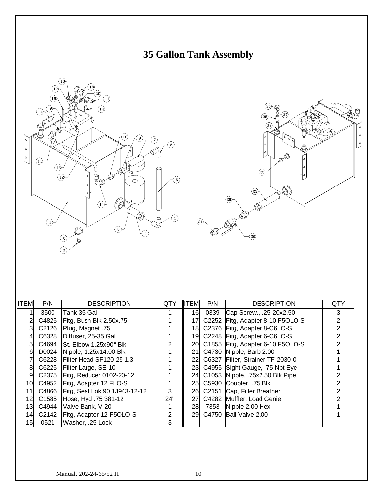





| <b>ITEM</b> | P/N   | <b>DESCRIPTION</b>                  | <b>QTY</b> | <b>ITEM</b> | P/N  | <b>DESCRIPTION</b>                  | QTY |
|-------------|-------|-------------------------------------|------------|-------------|------|-------------------------------------|-----|
|             | 3500  | <b>Tank 35 Gal</b>                  |            | 16          | 0339 | Cap Screw., .25-20x2.50             | 3   |
|             | C4825 | Fitg, Bush Blk 2.50x.75             |            | 17I         |      | C2252 Fitg, Adapter 8-10 F5OLO-S    |     |
|             | C2126 | Plug, Magnet .75                    |            |             |      | 18 C2376 Fitg, Adapter 8-C6LO-S     |     |
|             | C6328 | Diffuser, 25-35 Gal                 |            |             |      | 19 C2248 Fitg, Adapter 6-C6LO-S     |     |
| 51          |       | C4694 St. Elbow $1.25x90^\circ$ Blk |            |             |      | 20 C1855 Fitg, Adapter 6-10 F5OLO-S |     |
| 61          |       | D0024 Nipple, 1.25x14.00 Blk        |            |             |      | 21 C4730 Nipple, Barb 2.00          |     |
|             | C6228 | <b>IFilter Head SF120-25 1.3</b>    |            |             |      | 22 C6327 Filter, Strainer TF-2030-0 |     |
| 81          |       | C6225 Filter Large, SE-10           |            |             |      | 23 C4955 Sight Gauge, 75 Npt Eye    |     |
| 9           |       | C2375   Fitg, Reducer 0102-20-12    |            |             |      | 24 C1053 Nipple, 75x2.50 Blk Pipe   |     |
| 10I         | C4952 | Fitg, Adapter 12 FLO-S              |            |             |      | 25 C5930 Coupler, 75 Blk            |     |
| 11          |       | C4866 Fitg, Seal Lok 90 1J943-12-12 | 3          |             |      | 26 C2151 Cap, Filler Breather       |     |
| 12I         | C1585 | Hose, Hyd. 75 381-12                | 24"        |             |      | 27 C4282 Muffler, Load Genie        |     |
| 13I         | C4944 | Valve Bank, V-20                    |            | 28          | 7353 | Nipple 2.00 Hex                     |     |
| 14I         | C2142 | Fitg, Adapter 12-F5OLO-S            | 2          |             |      | 29 C4750 Ball Valve 2.00            |     |
| 15I         | 0521  | Washer, .25 Lock                    | 3          |             |      |                                     |     |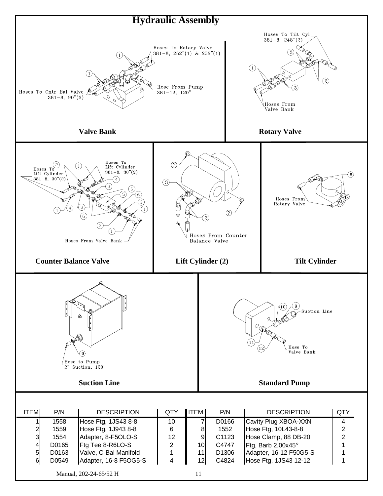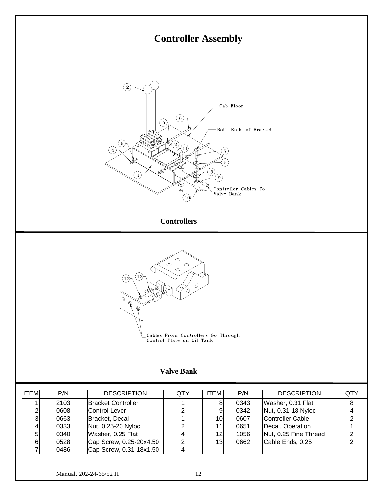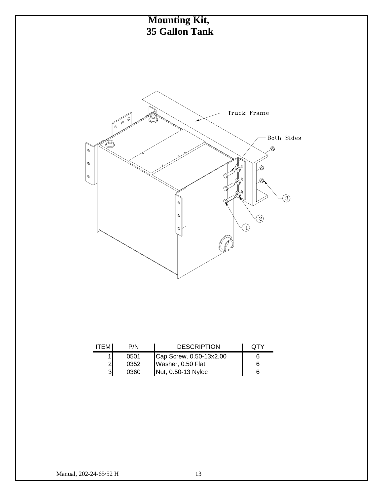

| <b>ITEM</b> | P/N  | <b>DESCRIPTION</b>                      | OTY |
|-------------|------|-----------------------------------------|-----|
|             | 0501 | Cap Screw, 0.50-13x2.00                 |     |
|             | 0352 | Washer, 0.50 Flat<br>Nut, 0.50-13 Nyloc | 6   |
| 31          | 0360 |                                         |     |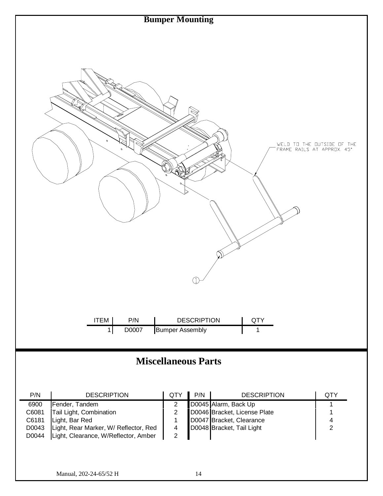

## **Miscellaneous Parts**

| P/N   | <b>DESCRIPTION</b>                    | <b>QTY</b> | P/N | <b>DESCRIPTION</b>           | <b>QTY</b> |
|-------|---------------------------------------|------------|-----|------------------------------|------------|
| 6900  | Fender, Tandem                        |            |     | D0045 Alarm, Back Up         |            |
| C6081 | Tail Light, Combination               |            |     | D0046 Bracket, License Plate |            |
| C6181 | Light, Bar Red                        |            |     | D0047 Bracket, Clearance     |            |
| D0043 | Light, Rear Marker, W/ Reflector, Red |            |     | D0048 Bracket, Tail Light    | າ          |
| D0044 | Light, Clearance, W/Reflector, Amber  |            |     |                              |            |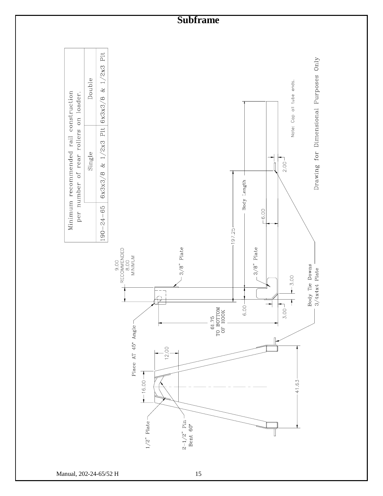